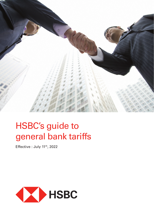

# HSBC's guide to general bank tariffs

Effective : July 11<sup>th</sup>, 2022

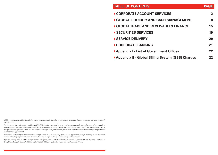| <b>TABLE OF CONTENTS</b>                            | <b>PAGE</b>  |
|-----------------------------------------------------|--------------|
| CORPORATE ACCOUNT SERVICES                          | $\mathbf{2}$ |
| ▶ GLOBAL LIQUIDITY AND CASH MANAGEMENT              | 8            |
| GLOBAL TRADE AND RECEIVABLES FINANCE                | 15           |
| SECURITIES SERVICES                                 | 19           |
| ▶ SERVICE DELIVERY                                  | 20           |
| CORPORATE BANKING                                   | 21           |
| ▶ Appendix I - List of Government Offices           | 22           |
| ▶ Appendix II - Global Billing System (GBS) Charges | 22.          |

*HSBC's guide to general bank tariffs for corporate customers is intended to give an overview of the fees we charge for our most commonly used services.*

*The charges in the guide apply to holders of HSBC Thailand account and cover normal transactions only. Special service, if any, as well as transactions not included in the guide are subject to negotiation. All rates, commissions and charges mentioned in this guide were correct at the effective date specified herein and are subject to changes. For your interest, please seek confirmation of the prevailing charges related to the services of your need.*

*Please note that foreign currency account charges listed in Thai Baht are payable in the appropriate foreign currency in the equivalent amount. The charges for remittances do not include any charges that may be imposed by banks overseas.*

*If you have any queries about the charges listed in this guide, please contact our headquarter which is located at HSBC Building, 968 Rama IV Road, Silom, Bangrak, Bangkok 10500 or call at 0-2614-4000 during Monday-Friday from 8:00 a.m. to 5:30 p.m.*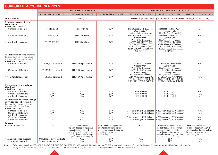| <b>CORPORATE ACCOUNT SERVICES</b>                                                                                                                                         |                                                       |                                                                                                                                                                                                               |                                                                                                                                                     |                                                                                                                                                                                                                                                                  |                                                                                                                                                                                                               |                                                                                                                                                     |
|---------------------------------------------------------------------------------------------------------------------------------------------------------------------------|-------------------------------------------------------|---------------------------------------------------------------------------------------------------------------------------------------------------------------------------------------------------------------|-----------------------------------------------------------------------------------------------------------------------------------------------------|------------------------------------------------------------------------------------------------------------------------------------------------------------------------------------------------------------------------------------------------------------------|---------------------------------------------------------------------------------------------------------------------------------------------------------------------------------------------------------------|-----------------------------------------------------------------------------------------------------------------------------------------------------|
|                                                                                                                                                                           | <b>THAI BAHT ACCOUNTS</b>                             |                                                                                                                                                                                                               |                                                                                                                                                     | FOREIGN CURRENCY ACCOUNTS <sup>1</sup>                                                                                                                                                                                                                           |                                                                                                                                                                                                               |                                                                                                                                                     |
|                                                                                                                                                                           | <b>CURRENT ACCOUNTS</b>                               | <b>SAVINGS ACCOUNTS</b>                                                                                                                                                                                       | TIME DEPOSIT ACCOUNTS <sup>2</sup>                                                                                                                  | <b>CURRENT ACCOUNTS</b>                                                                                                                                                                                                                                          | <b>SAVINGS ACCOUNTS</b>                                                                                                                                                                                       | TIME DEPOSIT ACCOUNTS <sup>3</sup>                                                                                                                  |
| <b>Initial Deposit</b>                                                                                                                                                    |                                                       | THB50,000                                                                                                                                                                                                     |                                                                                                                                                     | USD or applicable currency equivalent to THB50,000 (Excluding EUR, JPY, CHF)                                                                                                                                                                                     |                                                                                                                                                                                                               |                                                                                                                                                     |
| Minimum average balance<br>requirement<br>• Resident account<br>• Corporate Customer                                                                                      | THB100,000                                            | THB100,000                                                                                                                                                                                                    | N/A                                                                                                                                                 | USD20,000 (for USD Account                                                                                                                                                                                                                                       | USD20,000 (for USD Account                                                                                                                                                                                    | N/A                                                                                                                                                 |
| • Commercial Banking                                                                                                                                                      | THB100,000                                            | THB5,000,000                                                                                                                                                                                                  | N/A                                                                                                                                                 | Currency Only)<br>N/A (for Other Currencies)<br>USD20,000 (for USD Account<br>Currency Only)                                                                                                                                                                     | Currency Only)<br>N/A (for Other Currencies)<br>USD20,000 (for USD Account<br>Currency Only)                                                                                                                  | N/A                                                                                                                                                 |
| · Non-Resident account                                                                                                                                                    | THB5,000,000                                          | THB5,000,000                                                                                                                                                                                                  | N/A                                                                                                                                                 | N/A (for Other Currencies)<br>USD157,000, AUD199,000,<br>CAD196,000, CNY985,000,<br>DKK946,000, GBP112,000,<br>HKD1,218,000, NZD215,000,<br>SGD207,000                                                                                                           | N/A (for Other Currencies)<br>USD157,000, AUD199,000,<br>CAD196,000, CNY985,000,<br>DKK946,000, GBP112,000,<br>HKD1,218,000, NZD215,000,<br>SGD207,000                                                        | N/A                                                                                                                                                 |
| <b>Monthly service fee</b> (where the<br>balance falls below minimum<br>average balance requirement)<br>· Resident account<br>• Corporate Customer                        | THB3,000 per month                                    | THB3,000 per month                                                                                                                                                                                            | N/A                                                                                                                                                 | USD50 (for USD Account<br>Currency Only)                                                                                                                                                                                                                         | USD50 (for USD Account<br>Currency Only)                                                                                                                                                                      | N/A                                                                                                                                                 |
| • Commercial Banking                                                                                                                                                      | THB3,000 per month                                    | THB3,000 per month                                                                                                                                                                                            | N/A                                                                                                                                                 | N/A (for Other Currencies)<br>USD50 (for USD Account<br>Currency Only)                                                                                                                                                                                           | N/A (for Other Currencies)<br>USD50 (for USD Account<br>Currency Only)                                                                                                                                        | N/A                                                                                                                                                 |
| · Non-Resident account                                                                                                                                                    | THB8,000 per month                                    | THB8,000 per month                                                                                                                                                                                            | N/A                                                                                                                                                 | N/A (for Other Currencies)<br>USD190, AUD240, CAD240,<br>CNY1,190, DKK1,140, GBP140,<br>HKD1,470, NZD260, SGD250                                                                                                                                                 | N/A (for Other Currencies)<br>USD190, AUD240, CAD240,<br>CNY1,190, DKK1,140, GBP140,<br>HKD1,470, NZD260, SGD250                                                                                              | N/A                                                                                                                                                 |
| Maximum average balance<br>threshold<br>• Resident account<br>• Corporate Customer<br>• Commercial Banking<br>• Non-Resident account                                      | N/A<br>N/A<br>N/A                                     | N/A<br>N/A<br>N/A                                                                                                                                                                                             | N/A<br>N/A<br>N/A                                                                                                                                   | EUR100,000<br>EUR100,000<br>EUR100,000                                                                                                                                                                                                                           | EUR100,000<br>EUR100,000<br>EUR100,000                                                                                                                                                                        | N/A<br>N/A<br>N/A                                                                                                                                   |
| Monthly service fee for foreign<br>currency deposit (where the<br>balance falls above maximum<br>average balance threshold)<br>· Resident account<br>• Corporate Customer | N/A                                                   | N/A                                                                                                                                                                                                           | N/A                                                                                                                                                 | 0.5% on average EUR balance <sup>4</sup> 0.5% on average EUR balance <sup>4</sup>                                                                                                                                                                                |                                                                                                                                                                                                               | N/A                                                                                                                                                 |
| • Commercial Banking<br>· Non-Resident account<br>• Corporate Customer<br>• Commercial Banking                                                                            | N/A<br>N/A<br>N/A                                     | N/A<br>N/A<br>N/A                                                                                                                                                                                             | N/A<br>N/A<br>N/A                                                                                                                                   | 0.5% on average EUR balance <sup>4</sup> 0.5% on average EUR balance <sup>4</sup><br>0.5% on average EUR balance <sup>4</sup> 0.5% on average EUR balance <sup>4</sup><br>0.5% on average EUR balance <sup>4</sup>   $0.5\%$ on average EUR balance <sup>4</sup> |                                                                                                                                                                                                               | N/A<br>N/A<br>N/A                                                                                                                                   |
| <b>Interest</b><br>• On credit balances                                                                                                                                   | N/A                                                   | Credit interest is calculated on<br>the daily balance of the savings<br>account at prevailing HSBC<br>rates of interest and paid semi-<br>annually. Interest may be subject<br>to government withholding tax. | HSBC deposit rates prevailing<br>on date of placement. Interest<br>will be paid on due date and may<br>be subject to government<br>withholding tax. | $\rm N/A$                                                                                                                                                                                                                                                        | Credit interest is calculated on<br>the daily balance of the savings<br>account at prevailing HSBC<br>rates of interest and paid semi-<br>annually. Interest may be subject<br>to government withholding tax. | HSBC deposit rates prevailing<br>on date of placement. Interest<br>will be paid on due date and may<br>be subject to government<br>withholding tax. |
| • On unauthorised overdraft<br>• On arranged overdraft                                                                                                                    | Unauthorised overdraft rate<br>Subject to negotiation | N/A<br>N/A                                                                                                                                                                                                    | N/A<br>N/A                                                                                                                                          | N/A<br>N/A                                                                                                                                                                                                                                                       | N/A<br>N/A                                                                                                                                                                                                    | N/A<br>N/A                                                                                                                                          |

Remarks: <sup>1</sup> Currencies available are USD, AUD, CAD, CHF, CNY, DKK, EUR, GBP, HKD, JPY, NZD, and SGD. All amounts are quoted in USD or other foreign currencies where applied. For other foreign currencies, the USD equivalen *2 For periods of 1, 2 weeks and 1, 2, 3, 6, 12, 24 and 36 months 3 For periods of 1, 3, 6, 9, and 12 months 4 Average EUR balance \* 0.5% \* no. of days/360*



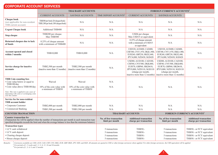| <b>CORPORATE ACCOUNT SERVICES</b>                                                                                                                                                                                                             |                                                                           |                                                                      |                                                         |                                                                                                                                                              |                                                                                                                                                              |           |
|-----------------------------------------------------------------------------------------------------------------------------------------------------------------------------------------------------------------------------------------------|---------------------------------------------------------------------------|----------------------------------------------------------------------|---------------------------------------------------------|--------------------------------------------------------------------------------------------------------------------------------------------------------------|--------------------------------------------------------------------------------------------------------------------------------------------------------------|-----------|
|                                                                                                                                                                                                                                               |                                                                           | <b>THAI BAHT ACCOUNTS</b>                                            |                                                         | <b>FOREIGN CURRENCY ACCOUNTS1</b>                                                                                                                            |                                                                                                                                                              |           |
|                                                                                                                                                                                                                                               | <b>CURRENT ACCOUNTS</b>                                                   | <b>SAVINGS ACCOUNTS</b>                                              | TIME DEPOSIT ACCOUNTS <sup>2</sup>                      | <b>CURRENT ACCOUNTS</b>                                                                                                                                      | <b>SAVINGS ACCOUNTS</b>                                                                                                                                      |           |
| <b>Cheque book</b><br>(not applicable for non-resident<br>THB current account)                                                                                                                                                                | THB300 per book (20 cheques/book)<br>THB1,500 per book (100 cheques/book) | $\rm N/A$                                                            | N/A                                                     | N/A                                                                                                                                                          | N/A                                                                                                                                                          | $\rm N/A$ |
| <b>Urgent Cheque book</b>                                                                                                                                                                                                                     | <b>Additional THB400</b>                                                  | N/A                                                                  | N/A                                                     | N/A                                                                                                                                                          | N/A                                                                                                                                                          | N/A       |
| Stop cheque                                                                                                                                                                                                                                   | THB200 per cheque.<br>Max THB500                                          | N/A                                                                  | N/A                                                     | USD6 per cheque<br>Max USD15 or equivalent                                                                                                                   | N/A                                                                                                                                                          | N/A       |
| Returned cheques due to lack<br>of funds                                                                                                                                                                                                      | 0.25% of cheque amount<br>with a minimum of THB400                        | N/A                                                                  | N/A                                                     | 0.25% of cheque amount<br>with a minimum of USD15<br>or equivalent                                                                                           | N/A                                                                                                                                                          | N/A       |
| Account opened and closed<br>within 3 months                                                                                                                                                                                                  | THB10,000                                                                 | THB10,000                                                            | N/A                                                     | USD320, AUD400, CAD400,<br>CHF300, CNY1,970, DKK1,900<br>EUR260, GBP230, HKD2,440,<br>JPY34,000, NZD430, SGD420                                              | USD320, AUD400, CAD400,<br>CHF300, CNY1,970, DKK1,900,<br>EUR260, GBP230, HKD2,440,<br>JPY34,000, NZD430, SGD420                                             | N/A       |
| Service charge for inactive<br>accounts                                                                                                                                                                                                       | THB2,500 per month<br>(inactive more than 12 months)                      | THB2,500 per month<br>(inactive more than 12 months)                 | N/A                                                     | USD80, AUD100, CAD100,<br>CHF80, CNY500, DKK480,<br>EUR70, GBP60, HKD610,<br>JPY9,000, NZD110, SGD110<br>(charge per month,<br>inactive more than 12 months) | USD80, AUD100, CAD100,<br>CHF80, CNY500, DKK480,<br>EUR70, GBP60, HKD610,<br>JPY9,000, NZD110, SGD110<br>(charge per month,<br>inactive more than 12 months) | N/A       |
| <b>THB Coin counting fees</b><br>• Coin value below or equal to<br>THB100/day<br>· Coin value above THB100/day<br>Note: This rate is applied to any cases of<br>depositing with coins or exchanging coins<br>over the counter                 | Waived<br>10% of the coin value with<br>a minimum of THB50                | Waived<br>$10\%$ of the coin value with<br>a minimum of THB50        | N/A<br>N/A                                              | N/A                                                                                                                                                          | N/A                                                                                                                                                          | N/A       |
| Service fee for non-resident<br><b>THB</b> account holder<br>• Corporate Customer                                                                                                                                                             |                                                                           |                                                                      | N/A                                                     | N/A                                                                                                                                                          | N/A                                                                                                                                                          | N/A       |
| • Commercial Banking                                                                                                                                                                                                                          | THB2,000 per month<br>THB3,500 per month                                  | THB2,000 per month<br>THB3,500 per month                             | N/A                                                     | N/A                                                                                                                                                          | N/A                                                                                                                                                          | $\rm N/A$ |
| <b>COUNTER TRANSACTION</b>                                                                                                                                                                                                                    |                                                                           |                                                                      | <b>THAI BAHT ACCOUNTS</b>                               |                                                                                                                                                              | <b>FOREIGN CURRENCY ACCOUNTS1</b>                                                                                                                            |           |
| <b>Counter transaction fee</b><br>(Transaction fee will be applied when the number of transactions per month in each transaction type<br>specified alongside exceeds the limit and when the average balance is less than the minimum balance) |                                                                           | No. of free transaction<br>limit per month                           | <b>Additional transaction</b><br>charge per transaction | No. of free transaction<br>limit per month                                                                                                                   | <b>Additional transaction</b><br>charge per transaction                                                                                                      |           |
| <b>Transaction types</b><br>• LCY cash withdrawal<br>• LCY cash deposit<br>· Clearing cheque deposit<br>• House cheque deposit                                                                                                                |                                                                           | 5 transactions<br>5 transactions<br>5 transactions<br>5 transactions | THB50.-<br>THB50.-<br>THB50.-<br>THB50 .-               | 5 transactions<br>5 transactions<br>5 transactions<br>5 transactions                                                                                         | THB50.- or FCY equivalent<br>THB50.- or FCY equivalent<br>THB50.- or FCY equivalent<br>THB50.- or FCY equivalent                                             |           |

*Remarks: <sup>1</sup>* ' Currencies available are USD, AUD, CAD, CHF, CNY, DKK, EUR, GBP, HKD, JPY, NZD, and SGD. All amounts are quoted in USD or other foreign currencies where applied. For other foreign currencies, the USD equivalent will be a

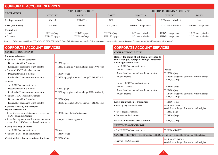| <b>CORPORATE ACCOUNT SERVICES</b> |                           |                  |                                   |                        |                       |                        |
|-----------------------------------|---------------------------|------------------|-----------------------------------|------------------------|-----------------------|------------------------|
| <b>STATEMENTS</b>                 | <b>THAI BAHT ACCOUNTS</b> |                  | <b>FOREIGN CURRENCY ACCOUNTS1</b> |                        |                       |                        |
|                                   | <b>MONTHLY</b>            | <b>WEEKLY</b>    | <b>DAILY</b>                      | <b>MONTHLY</b>         | <b>WEEKLY</b>         | <b>DAILY</b>           |
| Mail (per annum)                  | Waived                    | THB600.-         | N/A                               | Waived                 | USD24.- or equivalent | N/A                    |
| <b>EMS</b> (per month)            | THB500.-                  | THB1,000.-       | THB1,500.-                        | USD18 .- or equivalent | USD35.- or equivalent | USD52 .- or equivalent |
| <b>Manual</b> fax                 |                           |                  |                                   |                        |                       |                        |
| $\bullet$ Local                   | $THB50.-page$             | THB50.-/page     | $THB50.-page$                     | USD2.- or equivalent   | USD2.- or equivalent  | USD2.- or equivalent   |
| • Overseas                        | THB150.-/page             | $THB150. - page$ | THB150.-/page                     | USD5.- or equivalent   | USD5.- or equivalent  | USD5.- or equivalent   |

Remarks: <sup>1</sup> Currencies available are USD, GBP, AUD, HKD, EUR, SGD, JPY, and CNY. All amounts are quoted in USD or other foreign currencies where applied. For other foreign currencies, the USD equivalent will be applied.

### **CORPORATE ACCOUNT SERVICES**

| <b>COPIES OF DOCUMENTS</b>                                                                    |                                                     |  |
|-----------------------------------------------------------------------------------------------|-----------------------------------------------------|--|
| <b>Statement/cheques:</b>                                                                     |                                                     |  |
| • For HSBC Thailand customers                                                                 |                                                     |  |
| • Documents within 6 months                                                                   | THB50.-/page                                        |  |
| • Retrieval of documents over 6 months                                                        | THB50.-/page plus retrieval charge THB1,000.-/trip  |  |
| • For non-HSBC Thailand customers                                                             |                                                     |  |
| • Documents within 6 months                                                                   | THB300.-/page                                       |  |
| • Retrieval of documents over 6 months                                                        | THB300.-/page plus retrieval charge THB1,000.-/trip |  |
| Advice:                                                                                       |                                                     |  |
| • For HSBC Thailand customers                                                                 |                                                     |  |
| • Documents within 6 months                                                                   | $THB50.-page$                                       |  |
| • Retrieval of documents over 6 months                                                        | THB50.-/page plus retrieval charge THB1,000.-/trip  |  |
| • For non-HSBC Thailand customers                                                             |                                                     |  |
| • Documents within 6 months                                                                   | THB300.-/page                                       |  |
| • Retrieval of documents over 6 months                                                        | THB300.-/page plus retrieval charge THB1,000.-/trip |  |
| Certified true copy of document/<br>signature verification                                    |                                                     |  |
| • To certify true copy of statement prepared by<br><b>HSBC</b> Thailand customers             | THB500 .- /set of client's statement                |  |
| • To perform signature verification on document<br>prepared for HSBC oversea branch customers | THB1,000.-/client's signature                       |  |
| Certify true copy of advice                                                                   |                                                     |  |
| • For HSBC Thailand customers                                                                 | Waived                                              |  |
| • For non HSBC Thailand customers                                                             | THB100.-/page                                       |  |
| Certificate letter/balance confirmation letter                                                | THB500.-/letter                                     |  |

## **CORPORATE ACCOUNT SERVICES**

#### **COPIES OF DOCUMENTS COPIES OF DOCUMENTS**

| Request for copies of old document related to<br>transaction (i.e. Foreign Exchange Transaction<br>Form, applications forms) |                                                                   |
|------------------------------------------------------------------------------------------------------------------------------|-------------------------------------------------------------------|
| • For HSBC Thailand customers                                                                                                |                                                                   |
| • Within 2 weeks                                                                                                             | Waived                                                            |
| • More than 2 weeks and less than 6 months                                                                                   | THB300.-/page                                                     |
| • Over 6 months                                                                                                              | THB300 .- /page plus document retrieval charge<br>THB1,000.-/trip |
| • For non HSBC Thailand customers                                                                                            |                                                                   |
| • Within 2 weeks                                                                                                             | $THB100. -$ /page                                                 |
| • More than 2 weeks and less than 6 months                                                                                   | THB400.-/page                                                     |
| • Over 6 months                                                                                                              | THB400.-/page plus document retrieval charge                      |
|                                                                                                                              | THB1,000.-/trip                                                   |
| Letter confirmation of transaction                                                                                           | THB500 .- plus:                                                   |
| • Send by register mail / EMS                                                                                                | Minimum THB80.-                                                   |
|                                                                                                                              | (varied according to destination and weight)                      |
| • Fax to local destinations                                                                                                  | THB50.-/page                                                      |
| • Fax to other destinations                                                                                                  | $THB150.-page$                                                    |
| Retrival of document over 6 months                                                                                           | THB1,000.-/trip                                                   |
| <b>SWIFT MESSAGE CHARGE</b>                                                                                                  |                                                                   |
| • For HSBC Thailand customers                                                                                                | THB600.-/SWIFT                                                    |
| <b>COURIER SERVICE</b> (For instructions to HSBC Group only, financial instruments not included)                             |                                                                   |
| To any of HSBC branches                                                                                                      | Minimum THB800.-<br>(varied according to destination and weight)  |

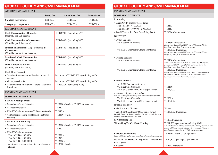### **GLOBAL LIQUIDITY AND CASH MANAGEMENT**

#### **ACCOUNT MANAGEMENT**

| ACCOUNT MARAGEMENT                                                                                                                                                                                         |            |                                                                                                                   |                             |                    |
|------------------------------------------------------------------------------------------------------------------------------------------------------------------------------------------------------------|------------|-------------------------------------------------------------------------------------------------------------------|-----------------------------|--------------------|
|                                                                                                                                                                                                            | Set-up fee |                                                                                                                   | <b>Amendment fee</b>        | <b>Monthly fee</b> |
| <b>Standing instructions</b>                                                                                                                                                                               | THB300 .-  |                                                                                                                   | THB100.-                    | THB500 .-          |
| <b>Sweeping arrangements</b>                                                                                                                                                                               | THB300.-   |                                                                                                                   | THB100.-                    | THB500.-           |
| <b>LIQUIDITY MANAGEMENT</b>                                                                                                                                                                                |            |                                                                                                                   |                             |                    |
| <b>Cash Concentration - Domestic</b><br>(Monthly, per Sub-account)                                                                                                                                         |            | THB3,900 .- (excluding VAT)                                                                                       |                             |                    |
| <b>Cash Concentration - Cross-border</b><br>(Monthly, per Sub-account)                                                                                                                                     |            | THB5,400 .- (excluding VAT)                                                                                       |                             |                    |
| <b>Interest Enhancement (IE) - Domestic &amp;</b><br><b>Cross-border</b><br>(Monthly, per participant account)                                                                                             |            | THB4,600 .- (excluding VAT)                                                                                       |                             |                    |
| <b>Multi-bank Cash Concentration</b><br>(Monthly, per participant account)                                                                                                                                 |            |                                                                                                                   | THB4,600 .- (excluding VAT) |                    |
| <b>Inter-Company Solution</b><br>(Monthly, per Sub-account)                                                                                                                                                |            | THB1,600 .- (excluding VAT)                                                                                       |                             |                    |
| <b>Cash Flow Forecast</b><br>• One-time Implementation Fee (Maximum 10<br>sessions)<br>• Monthly service fee<br>• Additional implementation sessions (Maximum<br>5 sessions)                               |            | Maximum of THB75,500 .- (excluding VAT)<br>Maximum of THB36,300 .- (excluding VAT)<br>THB30,200.- (excluding VAT) |                             |                    |
| <b>PAYMENTS MANAGEMENT</b>                                                                                                                                                                                 |            |                                                                                                                   |                             |                    |
| <b>DOMESTIC PAYMENTS</b>                                                                                                                                                                                   |            |                                                                                                                   |                             |                    |
| <b>SMART Credit (Normal)</b><br>• Amendment/Cancellation fee<br>• In-house transaction<br>• SMART Credit transaction (THB <= 2,000,000)<br>• Additional processing fee (for non electronic<br>channel)     |            | THB200.-/batch, or THB50.-/transaction<br>THB <sub>5</sub> .<br><b>THB12.-</b><br>THB500.-/batch                  |                             |                    |
| <b>SMART</b> Credit same day                                                                                                                                                                               |            |                                                                                                                   |                             |                    |
| · Amendment/Cancellation fee                                                                                                                                                                               |            | THB200.-/batch, or THB50.-/transaction                                                                            |                             |                    |
| · In-house transaction<br>• SMART Credit transaction<br>• Tier 1 (THB <= 100,000)<br>• Tier 2 (THB <= 500,000)<br>Tier 3 (THB <= 2,000,000)<br>• Additional processing fee (for non electronic<br>channel) |            | THB5.-<br><b>THB20.-</b><br>THB75.-<br>THB200 .-                                                                  | THB500 .- /batch            |                    |

### **GLOBAL LIQUIDITY AND CASH MANAGEMENT**

#### **PAYMENTS MANAGEMENT**

#### **DOMESTIC PAYMENTS**

| DOMESTIC PAYMENTS                                                                                                                                                              |                                                                                                                                                                                                                                 |
|--------------------------------------------------------------------------------------------------------------------------------------------------------------------------------|---------------------------------------------------------------------------------------------------------------------------------------------------------------------------------------------------------------------------------|
| <b>PromptPay</b>                                                                                                                                                               |                                                                                                                                                                                                                                 |
| · Single Credit Transfer (Real-Time)                                                                                                                                           |                                                                                                                                                                                                                                 |
| • Tier 1 (THB $\leq$ 100,000)                                                                                                                                                  | <b>THB10.-</b>                                                                                                                                                                                                                  |
| • Tier 2 (THB $> 100,000 - 2,000,000$ )                                                                                                                                        | <b>THB15.-</b>                                                                                                                                                                                                                  |
| • Recall Transaction from Beneficiary Bank                                                                                                                                     | THB500.-/transaction                                                                                                                                                                                                            |
| <b>BAHTNET</b>                                                                                                                                                                 |                                                                                                                                                                                                                                 |
| • Within Bangkok                                                                                                                                                               |                                                                                                                                                                                                                                 |
| • Via Electronic Channels                                                                                                                                                      | THB150.-/transaction<br>Please note: An additional THB100 .- will be debited by the<br>beneficiary bank from the remitted amount.                                                                                               |
| • Via HSBC Smartform/Other paper format                                                                                                                                        | THB5,000.-/transaction<br>Please note: An additional THB100 .- will be debited by the<br>beneficiary bank from the remitted amount.                                                                                             |
| • Outside Bangkok                                                                                                                                                              |                                                                                                                                                                                                                                 |
| • Via Electronic Channels                                                                                                                                                      | THB150.-/transaction<br>Please note: An additional THB100.- and 0.1% of transferred<br>amount min THB10.-, max THB750 will be debited by the<br>beneficiary bank from the remitted amount.                                      |
| • Via HSBC Smartform/Other paper format                                                                                                                                        | THB5,000.-/transaction<br>Please note: An additional THB100.- and 0.1% of transferred<br>amount min THB10.-, max THB750 will be debited by the<br>beneficiary bank from the remitted amount.                                    |
| <b>Cashier's Orders</b>                                                                                                                                                        |                                                                                                                                                                                                                                 |
| • For HSBC Thailand customers<br>• Via Electronic Channels<br>• Via HSBC Smart form/Other paper format                                                                         | THB100.-<br>THB5,000 .-                                                                                                                                                                                                         |
| • In favour of government offices<br>Remark: List of government offices is detailed as per Appendix I<br>• Via Electronic Channels<br>• Via HSBC Smart form/Other paper format | THB30.-<br>THB5,000 .-                                                                                                                                                                                                          |
| <b>Internal Transfer</b>                                                                                                                                                       |                                                                                                                                                                                                                                 |
| • Via Electronic Channels                                                                                                                                                      | Waived                                                                                                                                                                                                                          |
| • Via HSBC Smart form/ Other paper format<br>Remark: Subject to Special Handling fee when transfer between<br>Resident and Non-Resident accounts                               | THB5,000.-/transaction                                                                                                                                                                                                          |
| <b>E-Withholding Tax</b>                                                                                                                                                       | THB3.-/transaction                                                                                                                                                                                                              |
| <b>Withholding Tax Certificate Printing</b>                                                                                                                                    | THB1,500 .- per month (excluding VAT)<br>Remark: Maximum 300 copies per month. Printing more than 300<br>copies, additional monthly charge will be calculated based on<br>initial volume estimation at 10THB.- per transaction. |
| <b>Cheque Cancellations</b><br>Remark: This also applies to the cancellation of payment express cheque                                                                         | THB300.-, USD10.- or equivalent                                                                                                                                                                                                 |
| Retrieval of Domestic Payments transactions<br>over 1 years                                                                                                                    | THB2,500 .- per request per account                                                                                                                                                                                             |
| <b>E-Customs</b>                                                                                                                                                               | THB30.-/transaction                                                                                                                                                                                                             |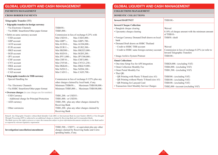### **GLOBAL LIQUIDITY AND CASH MANAGEMENT**

#### **PAYMENTS MANAGEMENT**

#### **CROSS BORDER PAYMENTS**

| Telegraphic Transfer (TT) |  |  |
|---------------------------|--|--|
|---------------------------|--|--|

| • Telgraphic transfers in foreign currency                                                                                                                             |                                                                                                                                                                                                                                                                              |
|------------------------------------------------------------------------------------------------------------------------------------------------------------------------|------------------------------------------------------------------------------------------------------------------------------------------------------------------------------------------------------------------------------------------------------------------------------|
| • Via Electronic Channels                                                                                                                                              | THB450.-                                                                                                                                                                                                                                                                     |
| • Via HSBC Smartform/Other paper format                                                                                                                                | THB5,000 .-                                                                                                                                                                                                                                                                  |
| • Debit on same currency account                                                                                                                                       | Commission in lieu of exchange 0.25% with                                                                                                                                                                                                                                    |
| • USD account                                                                                                                                                          | Min $USD10.-$<br>Max USD3,000 .-                                                                                                                                                                                                                                             |
| • GBP account                                                                                                                                                          | Min GBP7. $-$ ,<br>Max GBP1,700 .-                                                                                                                                                                                                                                           |
| • AUD account                                                                                                                                                          | Min AUD16.-,<br>Max AUD4,000 .-                                                                                                                                                                                                                                              |
| • EUR account                                                                                                                                                          | Min $EUR11.$ -,<br>Max EUR2,500 .-                                                                                                                                                                                                                                           |
| • HKD account                                                                                                                                                          | Min HKD80.-,<br>Max HKD25,000.-                                                                                                                                                                                                                                              |
| • SGD account                                                                                                                                                          | Min SGD18.-,<br>Max SGD5,200 .-                                                                                                                                                                                                                                              |
| • JPY account                                                                                                                                                          | Min JPY1,000.-,<br>Max JPY300,000 .-                                                                                                                                                                                                                                         |
| • CHF account                                                                                                                                                          | Min CHF $10.-$<br>Max CHF3,000 .-                                                                                                                                                                                                                                            |
| • CNY account                                                                                                                                                          | Min CNY68.-,<br>Max CNY21,250.-                                                                                                                                                                                                                                              |
| • DKK account                                                                                                                                                          | Min DKK60.-,<br>Max DKK19,000 .-                                                                                                                                                                                                                                             |
| • NZD account                                                                                                                                                          | Min $NZD12.$ -,<br>Max NZD4,100 .-                                                                                                                                                                                                                                           |
| • CAD account                                                                                                                                                          | Min CAD11.-,<br>Max CAD3,700 .-                                                                                                                                                                                                                                              |
| • Telegraphic transfers in THB currency                                                                                                                                |                                                                                                                                                                                                                                                                              |
| • Special Handling fee                                                                                                                                                 | Commission in lieu of exchange 0.125% plus any                                                                                                                                                                                                                               |
|                                                                                                                                                                        | other charges claimed by local bank, if any.                                                                                                                                                                                                                                 |
| • Via Electronic Channels                                                                                                                                              | Minimum THB650.-, Maximum THB100,000.-                                                                                                                                                                                                                                       |
| • Via HSBC Smartform/Other paper format                                                                                                                                | Minimum THB5,000 .- , Maximum THB100,000 .-                                                                                                                                                                                                                                  |
| • Overseas charges (in case charges are for remitter)                                                                                                                  |                                                                                                                                                                                                                                                                              |
| • USD Currency                                                                                                                                                         | THB1,200.- or USD35.-                                                                                                                                                                                                                                                        |
| • Additional charge for Principal Protection                                                                                                                           | THB1,000 .- or USD30 .-                                                                                                                                                                                                                                                      |
| • AED currency                                                                                                                                                         | THB1,500.- plus any other charges claimed by                                                                                                                                                                                                                                 |
|                                                                                                                                                                        | Receiving Bank                                                                                                                                                                                                                                                               |
| • Other currencies                                                                                                                                                     | THB1,200.- plus any other charges claimed by                                                                                                                                                                                                                                 |
|                                                                                                                                                                        | Receiving Bank                                                                                                                                                                                                                                                               |
| Through Processing (STP) is subjected to an additional charge as claimed by Receiving Bank and Correspondent Banks.<br>as required by relevant regulatory requirement. | Remark: Any Telegraphic Transfers without Bank Identifier Code (BIC) or International Bank Account Number (IBAN) or Non-Straight<br>The Bank reserves the rights to process or reject the transaction subject to given information/documents satisfactory to the Bank and/or |

|                                      | THB2,500.-, USD71.- or equivalent plus any other |
|--------------------------------------|--------------------------------------------------|
| Investigation/cancellation/amendment | charges claimed by Receiving banks and Corre-    |
|                                      | sponding banks, if any.                          |

### **GLOBAL LIQUIDITY AND CASH MANAGEMENT**

#### **COLLECTIONS MANAGEMENT**

#### **DOMESTIC COLLECTIONS**

10 10 11

| <b>Inward BAHTNET</b>                                  | THB100.-                                                                          |
|--------------------------------------------------------|-----------------------------------------------------------------------------------|
| <b>Inward Cheque Collection</b>                        |                                                                                   |
| • Bangkok cheque clearing                              | Waived                                                                            |
| • Upcountry cheque clearing                            | $0.10\%$ of cheque amount with the minimum amount<br>$of THB10. -$                |
| • Foreign Currency Demand Draft drawn on local<br>bank | THB50.-/draft                                                                     |
| • Demand Draft drawn on HSBC Thailand                  |                                                                                   |
| • Credit to HSBC THB account                           | Waived                                                                            |
| • Credit to HSBC same foreign currency account         | Commission in lieu of exchange 0.25% (or refer to<br>Inward Telegraphic Transfer) |
| • Image Archive System Printout                        | THB100 .-                                                                         |
| <b>Omni Collections</b>                                |                                                                                   |
| • One-time Setup Fee for API Integration               | THB20,000.- (excluding VAT)                                                       |
| • Omni Collection Monthly Fee                          | THB4,000.- (excluding VAT)                                                        |
| • Omni Portal Monthly Fee                              | THB1,500 .- (excluding VAT)                                                       |
| • Thai QR:                                             |                                                                                   |
| • QR Printing with Plastic T-Stand (size A5)           | THB300.- (excluding VAT)                                                          |
| • QR Printing without Plastic T-Stand (size A5)        | THB100.- (excluding VAT)                                                          |
| • QR Printing for Lanyard Card                         | THB100.- (excluding VAT)                                                          |
| • Transaction Alert Monthly Service Charges            | THB2,000 -/account (excluding VAT)                                                |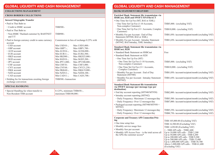### **GLOBAL LIQUIDITY AND CASH MANAGEMENT**

#### **COLLECTIONS MANAGEMENT**

#### **CROSS BORDER COLLECTIONS**

#### **Inward Telegraphic Transfer**

| mwaru rengrapine mansier                                               |                      |                                           |
|------------------------------------------------------------------------|----------------------|-------------------------------------------|
| • Paid in Thai Baht to:                                                |                      |                                           |
| • Credit to HSBC account                                               | THB500.-             |                                           |
| • Paid in Thai Baht to:                                                |                      |                                           |
| • Non-HSBC Thailand customer by BAHTNET<br>and $T/T$                   | THB900.-             |                                           |
| • Paid in foreign currency credit to same currency<br>account          |                      | Commission in lieu of exchange 0.25% with |
| • USD account                                                          | Min $USD10.-$        | Max USD3,000.-                            |
| $\cdot$ GBP account                                                    | Min GBP7. $-$ ,      | Max GBP1,700.-                            |
| • AUD account                                                          | Min AUD $16$ .       | Max AUD4,000 .-                           |
| $\cdot$ EUR account                                                    | Min $EUR11$ .        | Max EUR2,500 .-                           |
| • HKD account                                                          | Min HKD80.-,         | Max HKD25,000 .-                          |
| • SGD account                                                          | Min $SGD18.$ -,      | Max SGD5,200.-                            |
| • JPY account                                                          | Min JPY1,000 .-      | Max JPY300,000 .-                         |
| $\cdot$ CHF account                                                    | $Min$ CHF10.-        | Max CHF3,000 .-                           |
| • CNY account                                                          | Min CNY68.-          | Max CNY21,250.-                           |
| • DKK account                                                          | Min DKK $60$ -,      | Max DKK19,000.-                           |
| • NZD account                                                          | Min $NZD12$ .        | Max NZD4,100 .-                           |
| • CAD account                                                          | Min CAD11. $-$ ,     | Max CAD3,700 .-                           |
| • Holding fee for transactions awaiting foreign<br>exchange conversion | THB500.-/transaction |                                           |
| <b>SPECIAL HANDLING</b>                                                |                      |                                           |
|                                                                        |                      |                                           |

• Special Handling fee when transfer to Non-Resident THB account

0.125%, minimum THB650.-, maximum THB100,000.-

### **GLOBAL LIQUIDITY AND CASH MANAGEMENT**

#### **BANK STATEMENT DELIVERY**

| <b>Enriched Bank Statement file transmission via</b><br>HSBCnet, H2H and SWIFT FIN/FileACT                  |                                                                                                                                                                                                                                                                          |
|-------------------------------------------------------------------------------------------------------------|--------------------------------------------------------------------------------------------------------------------------------------------------------------------------------------------------------------------------------------------------------------------------|
| • One Time Set Up Fee (MT, BAI or XML)                                                                      |                                                                                                                                                                                                                                                                          |
| • One Time Set Up Fee (1-10 Accounts,<br>Non-complex Customer)                                              | THB5,000.- (excluding VAT)                                                                                                                                                                                                                                               |
| • One Time Set Up Fee (11+ Accounts, Complex<br>Customer)                                                   | THB10,000.- (excluding VAT)                                                                                                                                                                                                                                              |
| • Monthly Fee per Account: End of Day<br>Statement (MT940, BAI or XML)                                      | THB1,050.-/account/recipient/month (excluding VAT)                                                                                                                                                                                                                       |
| • Monthly Fee per Account : Intraday Statement<br>(MT942, BAI Intraday, XML Intraday)                       | THB1,650.-/account/recipient/month (excluding VAT)                                                                                                                                                                                                                       |
| <b>Standard Bank Statement file transmission via</b><br><b>HSBCnet, H2H</b>                                 |                                                                                                                                                                                                                                                                          |
| • Standard Bank Statement on HSBCnet                                                                        | Free                                                                                                                                                                                                                                                                     |
| • Standard Bank Statement on H2H                                                                            |                                                                                                                                                                                                                                                                          |
| • One Time Set Up Fee (MT)                                                                                  |                                                                                                                                                                                                                                                                          |
| • One Time Set Up Fee (1-10 Accounts,<br>Non-complex Customer)                                              | THB5,000.- (excluding VAT)                                                                                                                                                                                                                                               |
| • One Time Set Up Fee (11+ Accounts,<br>Complex Customer)                                                   | THB10,000 - (excluding VAT)                                                                                                                                                                                                                                              |
| • Monthly Fee per Account: End of Day<br>Statement (MT940)                                                  | THB1,050.-/account/recipient/month (excluding VAT)                                                                                                                                                                                                                       |
| • Monthly Fee per Account : Intraday Statement<br>(MT942)                                                   | THB1,650.-/account/recipient/month (excluding VAT)                                                                                                                                                                                                                       |
| <b>Standard Bank Statement file transmission</b><br>via SWIFT message (per message type per<br>destination) |                                                                                                                                                                                                                                                                          |
| · End day account reporting (MT940/MT950)                                                                   | THB2,000.-/account/recipient/month (excluding VAT)                                                                                                                                                                                                                       |
| • Intraday account reporting (MT942)                                                                        |                                                                                                                                                                                                                                                                          |
| · Daily Frequency: Maximum 12 messages/day                                                                  | THB3,500.-/account/recipient/month (excluding VAT)                                                                                                                                                                                                                       |
| · Daily Frequency: Over 12 messages/day                                                                     | THB7,000.-/account/recipient/month (excluding VAT)                                                                                                                                                                                                                       |
| • Packaged account reporting (MT940/MT950 +<br>MT942)                                                       |                                                                                                                                                                                                                                                                          |
| • Daily Frequency: Maximum 12 messages/day                                                                  | THB5,250.-/account/recipient/month (excluding VAT)                                                                                                                                                                                                                       |
| • Daily Frequency: Over 12 messages/day                                                                     | THB8,750.-/account/recipient/month (excluding VAT)                                                                                                                                                                                                                       |
| <b>Corporate and Treasury API Connection Pric-</b>                                                          |                                                                                                                                                                                                                                                                          |
| ing                                                                                                         | THB 105,000.00 (Excluding VAT)                                                                                                                                                                                                                                           |
| • One time setup fees                                                                                       | THB 16,500.00 (Excluding VAT)                                                                                                                                                                                                                                            |
| • Monthly service usage fees                                                                                | THB 1,650.00 (Excluding VAT)                                                                                                                                                                                                                                             |
| • Monthly fees per account                                                                                  | 1 - 5000 API calls - THB1,600                                                                                                                                                                                                                                            |
| • Monthly API Access Fees - is the total across all<br>the APIs the customer access*                        | Up to $10,000$ API calls – THB 2,300<br>Up to $50,000$ API calls - THB $6,200$<br>Up to 200,000 API calls - THB 9,200<br>Up to $500,000$ API calls - THB $15,400$<br>Up to 1,000,000 API calls - THB 30,700<br>Above 1,000,000 API calls - THB 61,400<br>(Excluding VAT) |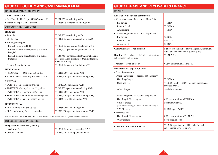| <b>GLOBAL LIQUIDITY AND CASH MANAGEMENT</b>                                                              |                                                                                                                   |
|----------------------------------------------------------------------------------------------------------|-------------------------------------------------------------------------------------------------------------------|
| <b>BANK STATEMENT DELIVERY</b>                                                                           |                                                                                                                   |
| <b>TWIST SERVICES</b>                                                                                    |                                                                                                                   |
| • One Time Set Up Fee per GBS Customer ID<br>• Monthly Fee per GBS Customer ID                           | THB1,650.- (excluding VAT)<br>THB350.- per month (excluding VAT)                                                  |
| <b>CHANNELS MANAGEMENT</b>                                                                               |                                                                                                                   |
| <b>HSBCnet</b>                                                                                           |                                                                                                                   |
| • Setup fee                                                                                              | THB2,500 .- (excluding VAT)                                                                                       |
| • Monthly fee                                                                                            | THB1,000 .- per month (excluding VAT)                                                                             |
| • Training and support                                                                                   |                                                                                                                   |
| • Refresh training at HSBC                                                                               | THB2,000 .- per session (excluding VAT)                                                                           |
| • Refresh training at customer's site within<br>Bangkok                                                  | THB3,000 .- per session (excluding VAT)                                                                           |
| • Refresh training at customer's site outside<br>Bangkok                                                 | THB3,000 .- per session plus transportation and<br>accommodation expenses to training location<br>(excluding VAT) |
| • Physical Security Device                                                                               | THB2,000 .- per unit (excluding VAT)                                                                              |
| <b>HSBC Connect</b>                                                                                      |                                                                                                                   |
| • HSBC Connect - One Time Set Up Fee                                                                     | THB105,000 .- (excluding VAT)                                                                                     |
| • HSBC Connect - Monthly Service Usage Fee                                                               | THB16,500 .- per month (excluding VAT)                                                                            |
| <b>SWIFTnet</b>                                                                                          |                                                                                                                   |
| • SWIFT FIN One Time Set Up Fee                                                                          | THB45,000 .- (excluding VAT)                                                                                      |
| · SWIFT FIN Monthly Service Usage Fee                                                                    | THB7,500 .- per month (excluding VAT)                                                                             |
| · SWIFT FileAct One Time Set Up Fee                                                                      | THB105,000 .- (excluding VAT)                                                                                     |
| · SWIFT FileAct Monthly Service Usage Fee                                                                | THB16,500 .- per month (excluding VAT)                                                                            |
| · SWIFT FileAct Per File Processing Fee                                                                  | THB150.- per file (excluding VAT)                                                                                 |
| <b>HSBC ERP Link</b>                                                                                     |                                                                                                                   |
| · ERP Link One Time Set Up Fee                                                                           | THB150,000 .- (excluding VAT)                                                                                     |
| • ERP Link Monthly Service Usage Fee                                                                     | THB23,000 .- per month (excluding VAT)                                                                            |
| Remark: SWIFTnet and HSBC ERP Link For more information, please contact GLCM for the professional advise |                                                                                                                   |
| <b>INTEGRATION SERVICES FEE</b>                                                                          |                                                                                                                   |
| <b>Integration Services Fee (One-off)</b>                                                                |                                                                                                                   |
| • Excel Map Fee                                                                                          | THB5,000.-per map (excluding VAT)                                                                                 |
| • Custom Map Fee                                                                                         | THB10,000.-per map (excluding VAT)                                                                                |

### **GLOBAL TRADE AND RECEIVABLES FINANCE**

#### **EXPORT**

| Letter of credit advised commission                                                |                                                                                                |
|------------------------------------------------------------------------------------|------------------------------------------------------------------------------------------------|
| • Where charges are for account of beneficiary                                     |                                                                                                |
| • Pre-advice                                                                       | THB100.-                                                                                       |
| • Letter of credit                                                                 | THB800.-                                                                                       |
| • Amendment                                                                        | THB800.-                                                                                       |
| • Where charges are for account of applicant                                       |                                                                                                |
| • Pre-advice                                                                       | <b>USD50.-</b>                                                                                 |
| • Letter of credit                                                                 | USD75.-                                                                                        |
| • Amendment                                                                        | $USD75. -$                                                                                     |
| <b>Confirmation of letter of credit</b>                                            | Subject to bank and country risk profile, minimum<br>USD250.- (collected on a quarterly basis) |
| <b>Handling Fee</b> (where an LC add confirmation is<br>subsequently not required) | THB1,200.-                                                                                     |
| <b>Transfer of letter of credit</b>                                                | 0.25% or minimum THB2,500                                                                      |
| Presentation of export L/C bills                                                   |                                                                                                |
| • Direct Presentation                                                              |                                                                                                |
| Where charges are for account of beneficiary                                       |                                                                                                |
| • Handling charges                                                                 | THB300.-                                                                                       |
| • Checking fee                                                                     | THB800 .- and THB500 .- for each subsequence<br>invoices or B/L                                |
| • Other charges                                                                    | See Miscellaneous                                                                              |
| Where charges are for account of applicant                                         |                                                                                                |
| • Handling & Checking fee                                                          | $0.125\%$ or minimum USD150.-                                                                  |
| • Courier charge<br>(varied according to destination and weight)                   | Minimum USD40.-                                                                                |
| • SWIFT charge                                                                     | USD40.- per SWIFT                                                                              |
| • Restricted Bill                                                                  |                                                                                                |
| • Handling & Checking fee                                                          | 0.125% or minimum THB1,200.-                                                                   |
| • Other charges                                                                    | See Miscellaneous                                                                              |
| Collection bills – not under $L/C$                                                 | THB800 .- per item and THB500 .- for each<br>subsequence invoices or B/L                       |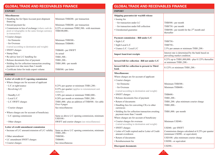| <b>GLOBAL TRADE AND RECEIVABLES FINANCE</b>                                                                              |                                                                     |
|--------------------------------------------------------------------------------------------------------------------------|---------------------------------------------------------------------|
| <b>EXPORT</b>                                                                                                            |                                                                     |
| <b>Miscellaneous</b>                                                                                                     |                                                                     |
| • Handling fee for Open Account post-shipment<br>financing                                                               | Minimum THB200.- per transaction                                    |
| · Inward payment fee                                                                                                     | Minimum THB200.- per transaction                                    |
| • Commission in lieu of exchange (where cash de-<br>posit or telegraphic in the same foreign currency<br>as transaction) | 0.25% or minimum THB2,500 .- with maximum<br>THB100,000 .-          |
| • Courier charges                                                                                                        |                                                                     |
| • for Domestic                                                                                                           | Minimum THB300.-                                                    |
| • for Overseas                                                                                                           | Minimum THB600.-                                                    |
| (varied according to destination and weight)                                                                             |                                                                     |
| · SWIFT charges                                                                                                          | THB600.- per SWIFT                                                  |
| • Stamp Duty                                                                                                             | As actual                                                           |
| • Re-advice lost L/C handling fee                                                                                        | THB1,500 .-                                                         |
| • Release documents free of payment                                                                                      | THB1,200.-                                                          |
| • Holding fee for collection transaction awaiting<br>payment over due more than 3 month                                  | THB1,000 .- per month                                               |
| • Certificate letter for trade export volume                                                                             | THB500.- per letter                                                 |
| <b>IMPORT</b>                                                                                                            |                                                                     |
| Letter of credit (L/C) opening commission                                                                                |                                                                     |
| • Where charges are for account of applicant                                                                             |                                                                     |
| • L/C at sight/usance                                                                                                    | 0.25% per quarter or minimum THB1,200.-                             |
| • Revolving L/C                                                                                                          | 0.25% per quarter (applies to reinstatement unit<br>maturity)       |
| • Standby L/C                                                                                                            | 3.50% per annum or minimum THB2,000 .-                              |
| • Local L/C                                                                                                              | 0.20% per month or minimum THB1,200.-                               |
| • L/C SWIFT charges                                                                                                      | THB1,000 .- plus an addition of THB500 .- for cable<br>Over 4 pages |
| • Courier charges                                                                                                        | See miscellaneous                                                   |
| • Where charges are for account of beneficiary                                                                           |                                                                     |
| • L/C opening commission                                                                                                 | Same as above L/C opening commission, minimum<br>USD100.-           |
| • Other charges                                                                                                          | SWIFT and courier charges (see miscellaneous)                       |
| Letter of credit amendment commission                                                                                    |                                                                     |
| • Increase of L/C amount/extension of L/C validity                                                                       | Same as above L/C opening commission, minimum<br>THB1,200.-         |
| • Other amendment                                                                                                        | THB500 .-                                                           |
| • LC amendment SWIFT charges                                                                                             | THB600 .-                                                           |
| · Courier charges                                                                                                        | See miscellaneous                                                   |

### **GLOBAL TRADE AND RECEIVABLES FINANCE**

### **IMPORT**

| IMI UN                                                                         |                                                                                       |
|--------------------------------------------------------------------------------|---------------------------------------------------------------------------------------|
| Shipping guarantee/air waybill release                                         |                                                                                       |
| · Issuing fee                                                                  |                                                                                       |
| • for transaction under LC                                                     | THB500.- per month                                                                    |
| • for transaction under bill collection                                        | THB750.- per month                                                                    |
| · Unredeemed guarantee                                                         | THB500.- per month for the $2nd$ month and                                            |
|                                                                                | thereafter                                                                            |
| Payment commission - Bill under L/C                                            |                                                                                       |
| $\cdot$ Sight L/C                                                              | THB750.-                                                                              |
| · Sight Local L/C                                                              | THB750.-                                                                              |
| · Usance L/C / Local L/C                                                       | 2.5% per annum or minimum THB1,200.-                                                  |
| <b>Import loan/trust receipts</b>                                              | Interest rate is determined by the bank based on<br>prevailing market condition.      |
| Inward bill for collection -Bill not under L/C                                 | 0.25% up to THB1,000,000 .- plus 0.125% thereafter<br>or minimum THB1,200.-           |
| Inward bill for collection to present to Third<br>bank                         | $0.125\%$ or minimum THB1,200.-                                                       |
| <b>Miscellaneous:</b>                                                          |                                                                                       |
| Where charges are for account of applicant                                     |                                                                                       |
| • Courier charges                                                              |                                                                                       |
| • for Domestic                                                                 | Minimum THB300.-                                                                      |
| • for Overseas                                                                 | Minimum THB600.-                                                                      |
| (varied according to destination and weight)                                   |                                                                                       |
| • SWIFT charges                                                                | THB600.-                                                                              |
| • Release documents free of payment                                            | THB1,200.-                                                                            |
| • Return of documents                                                          | THB1,200.- plus minimum courier charge                                                |
| • Handling fees for converting CILs to other<br>currencies                     | THB1,000 .-                                                                           |
| • Holding fee for collection transaction awaiting<br>payment more than 3 month | THB1,000.- per month                                                                  |
| Where charges are for account of beneficiary                                   |                                                                                       |
| • Courier charges for overseas<br>(varied according to destination and weight) | Minimum USD40.-                                                                       |
| · SWIFT charges                                                                | USD40.- per SWIFT                                                                     |
| · Letter of Credit expired and/or Letter of Credit<br>amount overdrawn         | Commission charges calculated at 0.25% per quarter<br>(minimum USD90.- or equivalent) |
| • Return of documents                                                          | USD100 .- plus minimum courier charge                                                 |
| • Reimbursement fee                                                            | USD90.- or equivalent                                                                 |
| <b>Discrepant documents</b>                                                    | USD90.-                                                                               |

16 16 17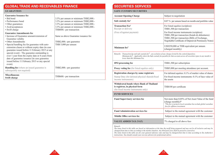| <b>GLOBAL TRADE AND RECEIVABLES FINANCE</b>                                                                                                            |                                                                                                           | <b>SECURITI</b>                              |
|--------------------------------------------------------------------------------------------------------------------------------------------------------|-----------------------------------------------------------------------------------------------------------|----------------------------------------------|
| <b>GUARANTEES</b>                                                                                                                                      |                                                                                                           | <b>SAFE CUSTO</b>                            |
| <b>Guarantee Issuance fee</b>                                                                                                                          |                                                                                                           | <b>Account Openi</b>                         |
| • Bid bond<br>• Performance bond                                                                                                                       | 3.5% per annum or minimum THB2,000.-<br>3.5% per annum or minimum THB2,000.-                              | Safe custody fe                              |
| • Other guarantees<br>• Aval/acceptances<br>• Swift charge                                                                                             | 3.5% per annum or minimum THB2,000 .-<br>3.5% per annum or minimum THB2,000.-<br>THB600.- per transaction | <b>Transaction Fe</b><br>Receipt or deliv    |
| <b>Guarantee Amendments fee</b><br>• Increase of Guarantee amount/extension of<br>Guarantee validity<br>• Other Amendments                             | Same as above Guarantee issuance fee<br>THB2,000 .- per guarantee                                         | (Free of/against                             |
| · Special handling fee for guarantee with auto-<br>extension clause or without expiry date (in case<br>guarantee issued before 11 February 2015 or any | THB 5,000 per annum                                                                                       | Minimum fee <sup>2</sup>                     |
| special event) - The guarantee outstanding is<br>over 1 year from the expiry date or 4 years from<br>date of guarantee issuance (in case guarantee     |                                                                                                           | Transacti<br>Remarks<br>Minimum<br>lower tha |
| issued before 11 February 2015 or any special<br>event)                                                                                                |                                                                                                           | <b>IPO</b> processing                        |
| <b>Handling fee</b> (where an issued guarantee is<br>subsequently not required)                                                                        | THB2,000 .- per guarantee                                                                                 | Proxy voting fe                              |
| <b>Miscellaneous</b><br>Swift charge                                                                                                                   | THB600.- per transaction                                                                                  | <b>Registration ch</b><br>Stamp Duty (for    |

### **IES SERVICES**

#### **DY/SECURITIES**

| <b>Account Opening Charge</b><br>Subject to negotiation<br>Safe custody fee <sup>1</sup><br><b>Transaction Fee</b> <sup>1</sup><br>For listed equities (scripless):<br>Receipt or delivery<br>THB1,500 per transaction<br>(Free of/against payment)<br>For fixed income instruments (scripless):<br>THB1,500 per transaction (Bills of Exchange,<br>USD250,000 or THB equivalent per annum<br>Minimum fee <sup>2</sup><br>(charged monthly)<br>Transaction fee and safe custody fee <sup>1</sup> : are exclusive of any charges levied by the central depository.<br>Remarks<br>lower than this Minimum Fee.<br><b>IPO</b> processing fee<br>THB1,500 per subscription<br><b>Proxy voting fee</b> (for listed equities only)<br>Registration charges by some registrars<br>Stamp Duty (for delisted physical shareds/fixed<br>income instruments)<br>the assets<br>Withdrawal bonds where Bank of Thailand<br>is registrar, in physical form<br>THB100 per certificate<br>(for fixed income instruments only)<br><b>FUND SERVICES</b><br><b>Fund Supervisory services fee</b><br>(charge monthly)*<br>fees for offshore investment |                                                                                                                                       |                                                                                                                          |  |
|------------------------------------------------------------------------------------------------------------------------------------------------------------------------------------------------------------------------------------------------------------------------------------------------------------------------------------------------------------------------------------------------------------------------------------------------------------------------------------------------------------------------------------------------------------------------------------------------------------------------------------------------------------------------------------------------------------------------------------------------------------------------------------------------------------------------------------------------------------------------------------------------------------------------------------------------------------------------------------------------------------------------------------------------------------------------------------------------------------------------------------|---------------------------------------------------------------------------------------------------------------------------------------|--------------------------------------------------------------------------------------------------------------------------|--|
|                                                                                                                                                                                                                                                                                                                                                                                                                                                                                                                                                                                                                                                                                                                                                                                                                                                                                                                                                                                                                                                                                                                                    |                                                                                                                                       |                                                                                                                          |  |
|                                                                                                                                                                                                                                                                                                                                                                                                                                                                                                                                                                                                                                                                                                                                                                                                                                                                                                                                                                                                                                                                                                                                    |                                                                                                                                       | 0.07 % per annum based on month-end portfolio value                                                                      |  |
|                                                                                                                                                                                                                                                                                                                                                                                                                                                                                                                                                                                                                                                                                                                                                                                                                                                                                                                                                                                                                                                                                                                                    |                                                                                                                                       | THB1,500 per transaction (bonds & debentures)<br>Negotiable Certificate of Deposit & Promissory Notes)                   |  |
|                                                                                                                                                                                                                                                                                                                                                                                                                                                                                                                                                                                                                                                                                                                                                                                                                                                                                                                                                                                                                                                                                                                                    |                                                                                                                                       |                                                                                                                          |  |
|                                                                                                                                                                                                                                                                                                                                                                                                                                                                                                                                                                                                                                                                                                                                                                                                                                                                                                                                                                                                                                                                                                                                    | Minimum fee <sup>2</sup> : Applicable where the Safe custody fee payable for that account across all securities types in any month is |                                                                                                                          |  |
|                                                                                                                                                                                                                                                                                                                                                                                                                                                                                                                                                                                                                                                                                                                                                                                                                                                                                                                                                                                                                                                                                                                                    |                                                                                                                                       |                                                                                                                          |  |
|                                                                                                                                                                                                                                                                                                                                                                                                                                                                                                                                                                                                                                                                                                                                                                                                                                                                                                                                                                                                                                                                                                                                    |                                                                                                                                       | THB5,000 per meeting attendance per account.                                                                             |  |
|                                                                                                                                                                                                                                                                                                                                                                                                                                                                                                                                                                                                                                                                                                                                                                                                                                                                                                                                                                                                                                                                                                                                    |                                                                                                                                       | For delisted equities: 0.1% of market value of shares<br>For fixed income instruments: 0.1% of face value of             |  |
|                                                                                                                                                                                                                                                                                                                                                                                                                                                                                                                                                                                                                                                                                                                                                                                                                                                                                                                                                                                                                                                                                                                                    |                                                                                                                                       |                                                                                                                          |  |
|                                                                                                                                                                                                                                                                                                                                                                                                                                                                                                                                                                                                                                                                                                                                                                                                                                                                                                                                                                                                                                                                                                                                    |                                                                                                                                       |                                                                                                                          |  |
|                                                                                                                                                                                                                                                                                                                                                                                                                                                                                                                                                                                                                                                                                                                                                                                                                                                                                                                                                                                                                                                                                                                                    |                                                                                                                                       | Not more than 0.05% of Net Asset Value of the fund<br>*The fee is inclusive local custodian but exclude global custodian |  |
|                                                                                                                                                                                                                                                                                                                                                                                                                                                                                                                                                                                                                                                                                                                                                                                                                                                                                                                                                                                                                                                                                                                                    | <b>Fund Administration services fee</b>                                                                                               | Subject to the mutual agreement with the customer                                                                        |  |
| Middle Office services fee                                                                                                                                                                                                                                                                                                                                                                                                                                                                                                                                                                                                                                                                                                                                                                                                                                                                                                                                                                                                                                                                                                         |                                                                                                                                       | Subject to the mutual agreement with the customer                                                                        |  |
| 7% charged to all above fees<br><b>VALUE ADDED TAX (VAT)</b>                                                                                                                                                                                                                                                                                                                                                                                                                                                                                                                                                                                                                                                                                                                                                                                                                                                                                                                                                                                                                                                                       |                                                                                                                                       |                                                                                                                          |  |

#### *Remark:*

18 19

*The items listed in this table are based on information at the time the tariff being prepared and may not be all inclusive and may be changed from time to time according to the market situation. Any third party fees shall be passed to yourselves.*

*The items listed in this table are for your general reference only and may be changed from time to time according to Tax Authority's instructions. You should consult your own tax advisors for professional advice.*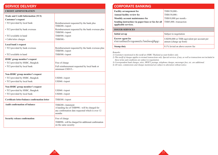### **SERVICE DELIVERY**

#### **CREDIT ADMINSTRATION**

| <b>Trade and Credit Information (TCI)</b>      |                                                                                                                                   |
|------------------------------------------------|-----------------------------------------------------------------------------------------------------------------------------------|
| <b>Customer's request</b>                      |                                                                                                                                   |
| • TCI provided by local bank                   | Reimbursement requested by the bank plus<br>THB200.-/report                                                                       |
| • TCI provided by bank overseas                | Reimbursement requested by the bank overseas plus<br>THB500.-/report                                                              |
| • TCI available in hand                        | THB500.-/report                                                                                                                   |
| • Cable/telex charges                          | THB500.-                                                                                                                          |
| Local bank's request                           |                                                                                                                                   |
| • TCI provided by bank overseas                | Reimbursement requested by the bank overseas plus<br>THB500.-/report                                                              |
| • TCI available in hand                        | THB500.-/report                                                                                                                   |
| HSBC group member's request                    |                                                                                                                                   |
| · TCI provided by HSBC, Bangkok                | Free of charge                                                                                                                    |
| • TCI provided by local bank                   | Full reimbursement requested by local bank or<br>minimum USD15.-                                                                  |
| Non-HSBC group member's request                |                                                                                                                                   |
| · TCI provided by HSBC, Bangkok                | USD60.-/report                                                                                                                    |
| • TCI provided by local bank                   | USD60.-/report                                                                                                                    |
| Non-HSBC group member's request                |                                                                                                                                   |
| • TCI provided by HSBC, Bangkok                | USD60.-/report                                                                                                                    |
| • TCI provided by local bank                   | USD60.-/report                                                                                                                    |
| Certificate letter/balance confirmation letter | THB300.-/report                                                                                                                   |
| <b>Audit confirmation of balance</b>           | THB200.-/statement<br>A handing fee of THB990.- will be charged for<br>any confirmation date requested which is over 12<br>months |
| Security release confirmation                  | Free of charge<br>THB990.- will be charged for additional confirmation<br>on the same security                                    |

| <b>CORPORATE BANKING</b>                                                  |                                                                        |
|---------------------------------------------------------------------------|------------------------------------------------------------------------|
| <b>Facility arrangement fee</b>                                           | THB150,000.-                                                           |
| <b>Annual facility review fee</b>                                         | THB150,000.-                                                           |
| Monthly account maintenance fee                                           | THB10,000 per month.-                                                  |
| Sending instruction via paper-base or fax for all<br>applicable services. | THB5,000.-/transaction                                                 |
| <b>ISSUER SERVICES</b>                                                    |                                                                        |
| Initial set-up                                                            | Subject to negotiation                                                 |
| <b>Escrow</b> agent fee<br>้ค่าธรรมเนี่ยมบริการดูแลผลประโยชน์ของคู่สัญญา  | USD50,000 or THB equivalent per account per<br>annum (charge up front) |
| <b>Stamp duty</b>                                                         | $0.1\%$ levied on above escrow fee                                     |

#### *Remarks:*

 $20 \times 21$ 

*1) Customers mentioned in this tariff are HSBC Thailand account holders only.*

*2) This tariff of charges applies to normal transactions only. Special services, if any, as well as transactions not included in these terms and conditions are subject to negotiation.*

*3) Correspondent bank charges, telex, SWIFT, postage, telephone charges, messenger fees, etc. are additional.*

*4) All rates, commissions and charges mentioned are subject to alteration without notice.*